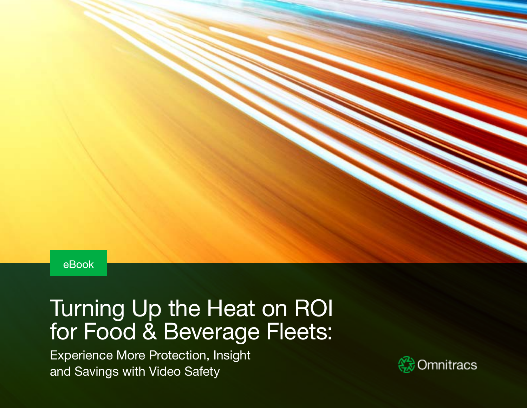

# Turning Up the Heat on ROI for Food & Beverage Fleets:

Experience More Protection, Insight and Savings with Video Safety

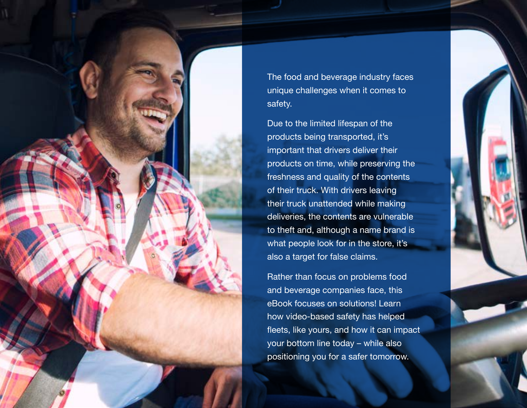

The food and beverage industry faces unique challenges when it comes to safety.

Due to the limited lifespan of the products being transported, it's important that drivers deliver their products on time, while preserving the freshness and quality of the contents of their truck. With drivers leaving their truck unattended while making deliveries, the contents are vulnerable to theft and, although a name brand is what people look for in the store, it's also a target for false claims.

Rather than focus on problems food and beverage companies face, this eBook focuses on solutions! Learn how video-based safety has helped fleets, like yours, and how it can impact your bottom line today – while also positioning you for a safer tomorrow.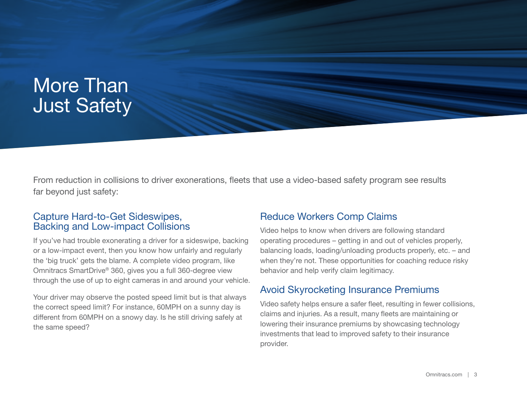## More Than Just Safety

From reduction in collisions to driver exonerations, fleets that use a video-based safety program see results far beyond just safety:

## Capture Hard-to-Get Sideswipes, Backing and Low-impact Collisions

If you've had trouble exonerating a driver for a sideswipe, backing or a low-impact event, then you know how unfairly and regularly the 'big truck' gets the blame. A complete video program, like Omnitracs SmartDrive® 360, gives you a full 360-degree view through the use of up to eight cameras in and around your vehicle.

Your driver may observe the posted speed limit but is that always the correct speed limit? For instance, 60MPH on a sunny day is different from 60MPH on a snowy day. Is he still driving safely at the same speed?

### Reduce Workers Comp Claims

Video helps to know when drivers are following standard operating procedures – getting in and out of vehicles properly, balancing loads, loading/unloading products properly, etc. – and when they're not. These opportunities for coaching reduce risky behavior and help verify claim legitimacy.

## Avoid Skyrocketing Insurance Premiums

Video safety helps ensure a safer fleet, resulting in fewer collisions, claims and injuries. As a result, many fleets are maintaining or lowering their insurance premiums by showcasing technology investments that lead to improved safety to their insurance provider.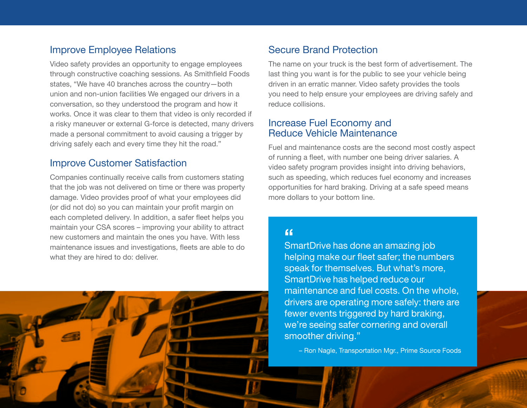## Improve Employee Relations

Video safety provides an opportunity to engage employees through constructive coaching sessions. As Smithfield Foods states, "We have 40 branches across the country—both union and non-union facilities We engaged our drivers in a conversation, so they understood the program and how it works. Once it was clear to them that video is only recorded if a risky maneuver or external G-force is detected, many drivers made a personal commitment to avoid causing a trigger by driving safely each and every time they hit the road."

## Improve Customer Satisfaction

Companies continually receive calls from customers stating that the job was not delivered on time or there was property damage. Video provides proof of what your employees did (or did not do) so you can maintain your profit margin on each completed delivery. In addition, a safer fleet helps you maintain your CSA scores – improving your ability to attract new customers and maintain the ones you have. With less maintenance issues and investigations, fleets are able to do what they are hired to do: deliver.



## Secure Brand Protection

The name on your truck is the best form of advertisement. The last thing you want is for the public to see your vehicle being driven in an erratic manner. Video safety provides the tools you need to help ensure your employees are driving safely and reduce collisions.

### Increase Fuel Economy and Reduce Vehicle Maintenance

Fuel and maintenance costs are the second most costly aspect of running a fleet, with number one being driver salaries. A video safety program provides insight into driving behaviors, such as speeding, which reduces fuel economy and increases opportunities for hard braking. Driving at a safe speed means more dollars to your bottom line.

## $\epsilon$

SmartDrive has done an amazing job helping make our fleet safer; the numbers speak for themselves. But what's more, SmartDrive has helped reduce our maintenance and fuel costs. On the whole, drivers are operating more safely: there are fewer events triggered by hard braking, we're seeing safer cornering and overall smoother driving."

– Ron Nagle, Transportation Mgr., Prime Source Foods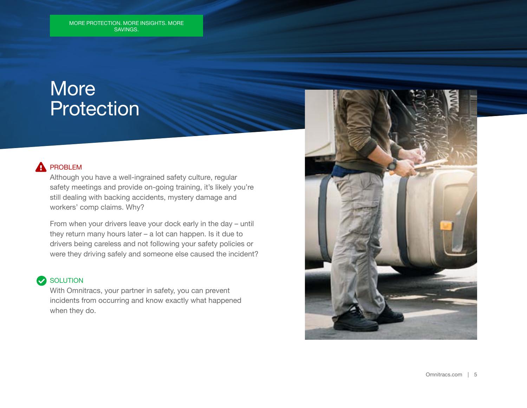## **More** Protection

#### PROBLEM А

Although you have a well-ingrained safety culture, regular safety meetings and provide on-going training, it's likely you're still dealing with backing accidents, mystery damage and workers' comp claims. Why?

From when your drivers leave your dock early in the day – until they return many hours later – a lot can happen. Is it due to drivers being careless and not following your safety policies or were they driving safely and someone else caused the incident?

## SOLUTION

With Omnitracs, your partner in safety, you can prevent incidents from occurring and know exactly what happened when they do.

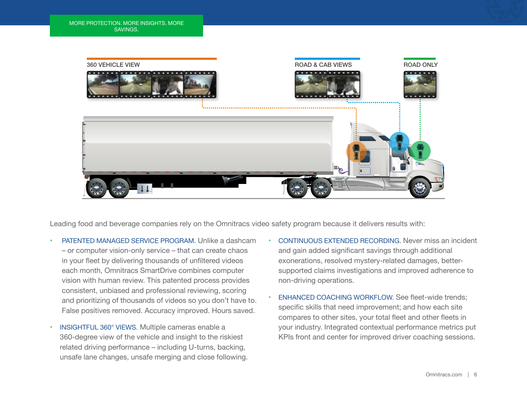

Leading food and beverage companies rely on the Omnitracs video safety program because it delivers results with:

- PATENTED MANAGED SERVICE PROGRAM. Unlike a dashcam – or computer vision-only service – that can create chaos in your fleet by delivering thousands of unfiltered videos each month, Omnitracs SmartDrive combines computer vision with human review. This patented process provides consistent, unbiased and professional reviewing, scoring and prioritizing of thousands of videos so you don't have to. False positives removed. Accuracy improved. Hours saved.
- INSIGHTFUL 360° VIEWS. Multiple cameras enable a 360-degree view of the vehicle and insight to the riskiest related driving performance – including U-turns, backing, unsafe lane changes, unsafe merging and close following.
- CONTINUOUS EXTENDED RECORDING. Never miss an incident and gain added significant savings through additional exonerations, resolved mystery-related damages, bettersupported claims investigations and improved adherence to non-driving operations.
- **ENHANCED COACHING WORKFLOW. See fleet-wide trends;** specific skills that need improvement; and how each site compares to other sites, your total fleet and other fleets in your industry. Integrated contextual performance metrics put KPIs front and center for improved driver coaching sessions.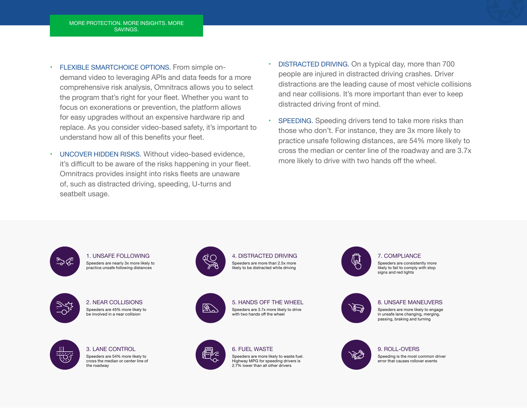- FLEXIBLE SMARTCHOICE OPTIONS. From simple ondemand video to leveraging APIs and data feeds for a more comprehensive risk analysis, Omnitracs allows you to select the program that's right for your fleet. Whether you want to focus on exonerations or prevention, the platform allows for easy upgrades without an expensive hardware rip and replace. As you consider video-based safety, it's important to understand how all of this benefits your fleet.
- UNCOVER HIDDEN RISKS. Without video-based evidence, it's difficult to be aware of the risks happening in your fleet. Omnitracs provides insight into risks fleets are unaware of, such as distracted driving, speeding, U-turns and seatbelt usage.
- DISTRACTED DRIVING. On a typical day, more than 700 people are injured in distracted driving crashes. Driver distractions are the leading cause of most vehicle collisions and near collisions. It's more important than ever to keep distracted driving front of mind.
- SPEEDING. Speeding drivers tend to take more risks than those who don't. For instance, they are 3x more likely to practice unsafe following distances, are 54% more likely to cross the median or center line of the roadway and are 3.7x more likely to drive with two hands off the wheel.

ಾఢ

1. UNSAFE FOLLOWING Speeders are nearly 3x more likely to practice unsafe following distances

2. NEAR COLLISIONS Speeders are 45% more likely to be involved in a near collision



3. LANE CONTROL Speeders are 54% more likely to cross the median or center line of the roadway



4. DISTRACTED DRIVING Speeders are more than 2.5x more likely to be distracted while driving



5. HANDS OFF THE WHEEL Speeders are 3.7x more likely to drive with two hands off the wheel



6. FUEL WASTE

Speeders are more likely to waste fuel. Highway MPG for speeding drivers is 2.7% lower than all other drivers



今

### 9. ROLL-OVERS

7. COMPLIANCE Speeders are consistently more likely to fail to comply with stop signs and red lights

Speeding is the most common driver error that causes rollover events

8. UNSAFE MANEUVERS Speeders are more likely to engage in unsafe lane changing, merging, passing, braking and turning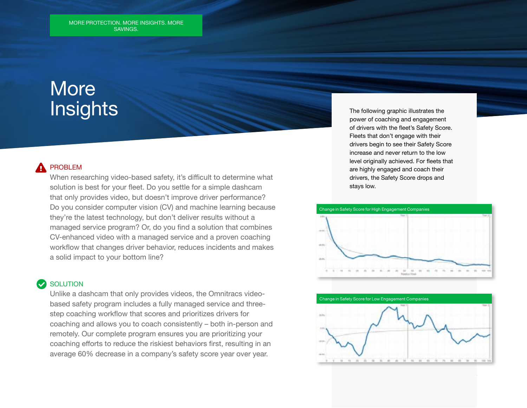## **More Insights**

### PROBLEM

When researching video-based safety, it's difficult to determine what solution is best for your fleet. Do you settle for a simple dashcam that only provides video, but doesn't improve driver performance? Do you consider computer vision (CV) and machine learning because they're the latest technology, but don't deliver results without a managed service program? Or, do you find a solution that combines CV-enhanced video with a managed service and a proven coaching workflow that changes driver behavior, reduces incidents and makes a solid impact to your bottom line?

### **SOLUTION**

Unlike a dashcam that only provides videos, the Omnitracs videobased safety program includes a fully managed service and threestep coaching workflow that scores and prioritizes drivers for coaching and allows you to coach consistently – both in-person and remotely. Our complete program ensures you are prioritizing your coaching efforts to reduce the riskiest behaviors first, resulting in an average 60% decrease in a company's safety score year over year.

The following graphic illustrates the power of coaching and engagement of drivers with the fleet's Safety Score. Fleets that don't engage with their drivers begin to see their Safety Score increase and never return to the low level originally achieved. For fleets that are highly engaged and coach their drivers, the Safety Score drops and stays low.





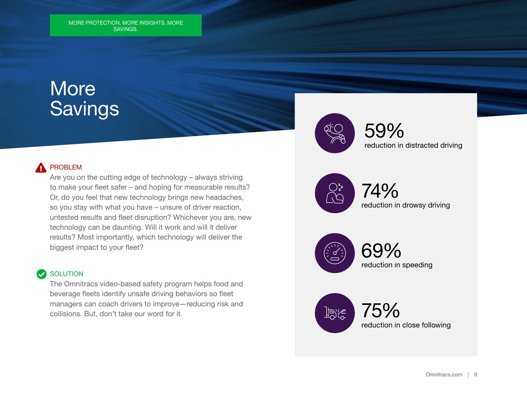## **More Savings**

#### PROBLEM А

Are you on the cutting edge of technology – always striving to make your fleet safer – and hoping for measurable results? Or, do you feel that new technology brings new headaches, so you stay with what you have – unsure of driver reaction, untested results and fleet disruption? Whichever you are, new technology can be daunting. Will it work and will it deliver results? Most importantly, which technology will deliver the biggest impact to your fleet?

#### **SOLUTION**  $\blacktriangledown$

The Omnitracs video-based safety program helps food and beverage fleets identify unsafe driving behaviors so fleet managers can coach drivers to improve—reducing risk and collisions. But, don't take our word for it.

59% reduction in distracted driving



74% reduction in drowsy driving



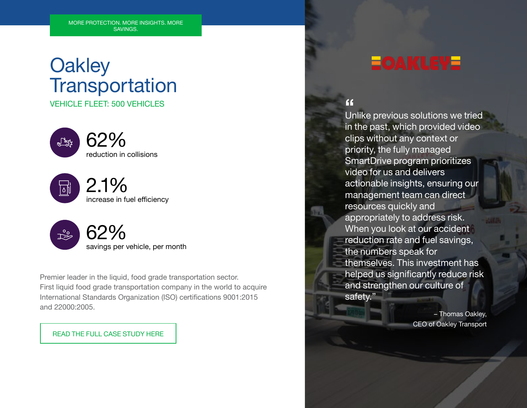## **Oakley Transportation** VEHICLE FLEET: 500 VEHICLES







Premier leader in the liquid, food grade transportation sector. First liquid food grade transportation company in the world to acquire International Standards Organization (ISO) certifications 9001:2015 and 22000:2005.

### READ THE FULL CASE STUDY HERE

## **EOAKLEYE**

### $\epsilon$

Unlike previous solutions we tried in the past, which provided video clips without any context or priority, the fully managed SmartDrive program prioritizes video for us and delivers actionable insights, ensuring our management team can direct resources quickly and appropriately to address risk. When you look at our accident reduction rate and fuel savings, the numbers speak for themselves. This investment has helped us significantly reduce risk and strengthen our culture of safety."

> – Thomas Oakley, CEO of Oakley Transport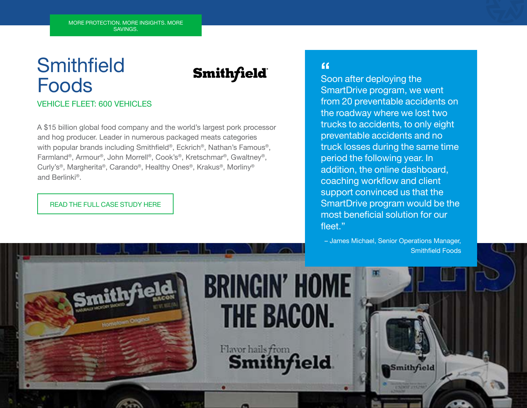# **Smithfield** Foods

## **Smithfield**

## **VEHICLE FLEET: 600 VEHICLES**

A \$15 billion global food company and the world's largest pork processor and hog producer. Leader in numerous packaged meats categories with popular brands including Smithfield®, Eckrich®, Nathan's Famous®, Farmland®, Armour®, John Morrell®, Cook's®, Kretschmar®, Gwaltney®, Curly's®, Margherita®, Carando®, Healthy Ones®, Krakus®, Morliny® and Berlinki®.

### READ THE FULL CASE STUDY HERE

## $\epsilon$

Soon after deploying the SmartDrive program, we went from 20 preventable accidents on the roadway where we lost two trucks to accidents, to only eight preventable accidents and no truck losses during the same time period the following year. In addition, the online dashboard, coaching workflow and client support convinced us that the SmartDrive program would be the most beneficial solution for our fleet."

– James Michael, Senior Operations Manager, Smithfield Foods

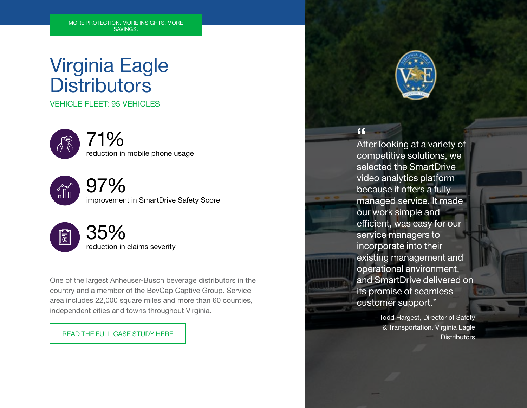## Virginia Eagle **Distributors**

VEHICLE FLEET: 95 VEHICLES



## 71%

reduction in mobile phone usage



97%

improvement in SmartDrive Safety Score



One of the largest Anheuser-Busch beverage distributors in the country and a member of the BevCap Captive Group. Service area includes 22,000 square miles and more than 60 counties, independent cities and towns throughout Virginia.

READ THE FULL CASE STUDY HERE



 $\epsilon$ 

After looking at a variety of competitive solutions, we selected the SmartDrive video analytics platform because it offers a fully managed service. It made our work simple and efficient, was easy for our service managers to incorporate into their existing management and operational environment, and SmartDrive delivered on its promise of seamless customer support."

> – Todd Hargest, Director of Safety & Transportation, Virginia Eagle **Distributors**

an an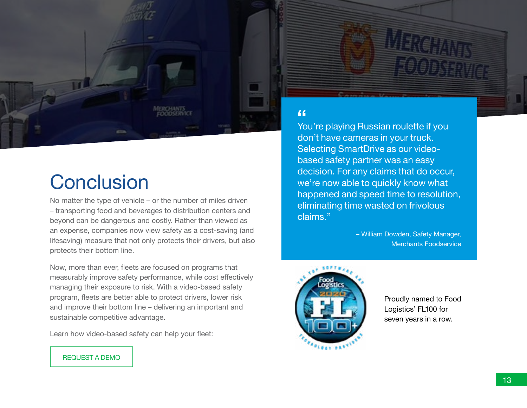

# **Conclusion**

No matter the type of vehicle – or the number of miles driven – transporting food and beverages to distribution centers and beyond can be dangerous and costly. Rather than viewed as an expense, companies now view safety as a cost-saving (and lifesaving) measure that not only protects their drivers, but also protects their bottom line.

Now, more than ever, fleets are focused on programs that measurably improve safety performance, while cost effectively managing their exposure to risk. With a video-based safety program, fleets are better able to protect drivers, lower risk and improve their bottom line – delivering an important and sustainable competitive advantage.

Learn how video-based safety can help your fleet:

## $\epsilon$

You're playing Russian roulette if you don't have cameras in your truck. Selecting SmartDrive as our videobased safety partner was an easy decision. For any claims that do occur, we're now able to quickly know what happened and speed time to resolution, eliminating time wasted on frivolous claims."

> – William Dowden, Safety Manager, Merchants Foodservice



Proudly named to Food Logistics' FL100 for seven years in a row.

### REQUEST A DEMO